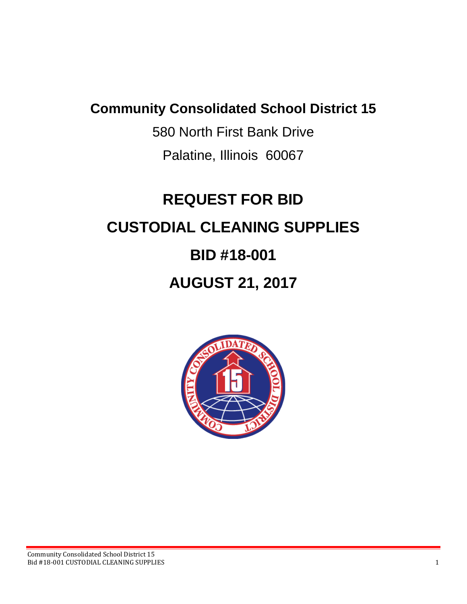# **Community Consolidated School District 15**

580 North First Bank Drive Palatine, Illinois 60067

# **REQUEST FOR BID CUSTODIAL CLEANING SUPPLIES BID #18-001 AUGUST 21, 2017**

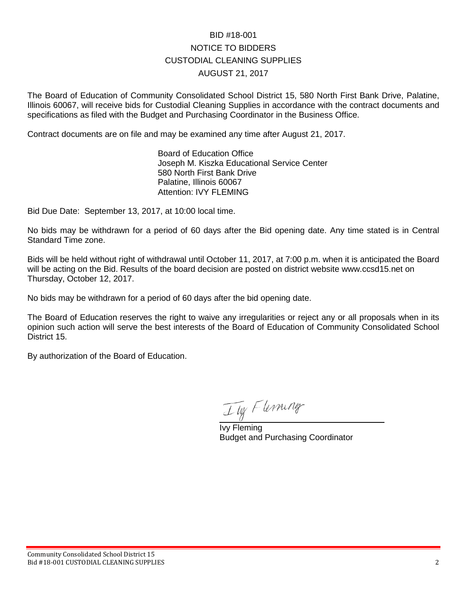# BID #18-001 NOTICE TO BIDDERS CUSTODIAL CLEANING SUPPLIES AUGUST 21, 2017

The Board of Education of Community Consolidated School District 15, 580 North First Bank Drive, Palatine, Illinois 60067, will receive bids for Custodial Cleaning Supplies in accordance with the contract documents and specifications as filed with the Budget and Purchasing Coordinator in the Business Office.

Contract documents are on file and may be examined any time after August 21, 2017.

Board of Education Office Joseph M. Kiszka Educational Service Center 580 North First Bank Drive Palatine, Illinois 60067 Attention: IVY FLEMING

Bid Due Date: September 13, 2017, at 10:00 local time.

No bids may be withdrawn for a period of 60 days after the Bid opening date. Any time stated is in Central Standard Time zone.

Bids will be held without right of withdrawal until October 11, 2017, at 7:00 p.m. when it is anticipated the Board will be acting on the Bid. Results of the board decision are posted on district website www.ccsd15.net on Thursday, October 12, 2017.

No bids may be withdrawn for a period of 60 days after the bid opening date.

The Board of Education reserves the right to waive any irregularities or reject any or all proposals when in its opinion such action will serve the best interests of the Board of Education of Community Consolidated School District 15.

By authorization of the Board of Education.

Tig Flermner

Ivy Fleming Budget and Purchasing Coordinator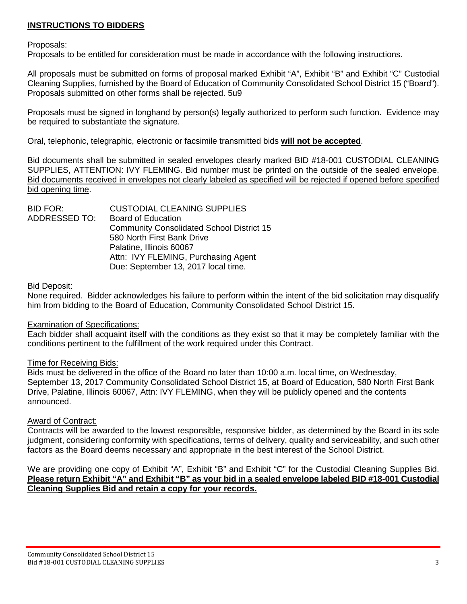# **INSTRUCTIONS TO BIDDERS**

#### Proposals:

Proposals to be entitled for consideration must be made in accordance with the following instructions.

All proposals must be submitted on forms of proposal marked Exhibit "A", Exhibit "B" and Exhibit "C" Custodial Cleaning Supplies, furnished by the Board of Education of Community Consolidated School District 15 ("Board"). Proposals submitted on other forms shall be rejected. 5u9

Proposals must be signed in longhand by person(s) legally authorized to perform such function. Evidence may be required to substantiate the signature.

Oral, telephonic, telegraphic, electronic or facsimile transmitted bids **will not be accepted**.

Bid documents shall be submitted in sealed envelopes clearly marked BID #18-001 CUSTODIAL CLEANING SUPPLIES, ATTENTION: IVY FLEMING. Bid number must be printed on the outside of the sealed envelope. Bid documents received in envelopes not clearly labeled as specified will be rejected if opened before specified bid opening time.

| <b>CUSTODIAL CLEANING SUPPLIES</b>               |
|--------------------------------------------------|
| <b>Board of Education</b>                        |
| <b>Community Consolidated School District 15</b> |
| 580 North First Bank Drive                       |
| Palatine, Illinois 60067                         |
| Attn: IVY FLEMING, Purchasing Agent              |
| Due: September 13, 2017 local time.              |
|                                                  |

#### Bid Deposit:

None required. Bidder acknowledges his failure to perform within the intent of the bid solicitation may disqualify him from bidding to the Board of Education, Community Consolidated School District 15.

#### Examination of Specifications:

Each bidder shall acquaint itself with the conditions as they exist so that it may be completely familiar with the conditions pertinent to the fulfillment of the work required under this Contract.

#### Time for Receiving Bids:

Bids must be delivered in the office of the Board no later than 10:00 a.m. local time, on Wednesday, September 13, 2017 Community Consolidated School District 15, at Board of Education, 580 North First Bank Drive, Palatine, Illinois 60067, Attn: IVY FLEMING, when they will be publicly opened and the contents announced.

## Award of Contract:

Contracts will be awarded to the lowest responsible, responsive bidder, as determined by the Board in its sole judgment, considering conformity with specifications, terms of delivery, quality and serviceability, and such other factors as the Board deems necessary and appropriate in the best interest of the School District.

We are providing one copy of Exhibit "A", Exhibit "B" and Exhibit "C" for the Custodial Cleaning Supplies Bid. **Please return Exhibit "A" and Exhibit "B" as your bid in a sealed envelope labeled BID #18-001 Custodial Cleaning Supplies Bid and retain a copy for your records.**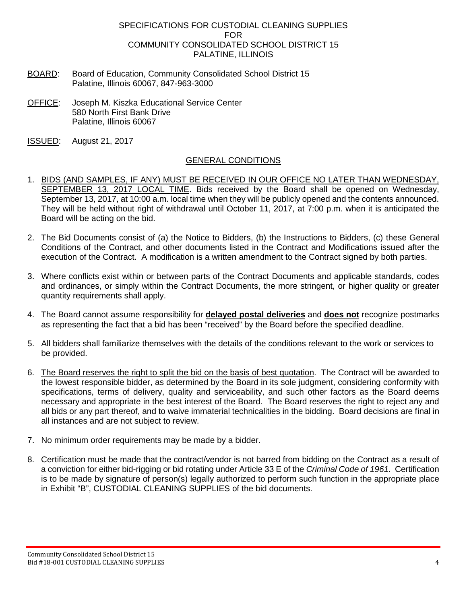## SPECIFICATIONS FOR CUSTODIAL CLEANING SUPPLIES FOR COMMUNITY CONSOLIDATED SCHOOL DISTRICT 15 PALATINE, ILLINOIS

- BOARD: Board of Education, Community Consolidated School District 15 Palatine, Illinois 60067, 847-963-3000
- OFFICE: Joseph M. Kiszka Educational Service Center 580 North First Bank Drive Palatine, Illinois 60067
- ISSUED: August 21, 2017

# GENERAL CONDITIONS

- 1. BIDS (AND SAMPLES, IF ANY) MUST BE RECEIVED IN OUR OFFICE NO LATER THAN WEDNESDAY, SEPTEMBER 13, 2017 LOCAL TIME. Bids received by the Board shall be opened on Wednesday, September 13, 2017, at 10:00 a.m. local time when they will be publicly opened and the contents announced. They will be held without right of withdrawal until October 11, 2017, at 7:00 p.m. when it is anticipated the Board will be acting on the bid.
- 2. The Bid Documents consist of (a) the Notice to Bidders, (b) the Instructions to Bidders, (c) these General Conditions of the Contract, and other documents listed in the Contract and Modifications issued after the execution of the Contract. A modification is a written amendment to the Contract signed by both parties.
- 3. Where conflicts exist within or between parts of the Contract Documents and applicable standards, codes and ordinances, or simply within the Contract Documents, the more stringent, or higher quality or greater quantity requirements shall apply.
- 4. The Board cannot assume responsibility for **delayed postal deliveries** and **does not** recognize postmarks as representing the fact that a bid has been "received" by the Board before the specified deadline.
- 5. All bidders shall familiarize themselves with the details of the conditions relevant to the work or services to be provided.
- 6. The Board reserves the right to split the bid on the basis of best quotation. The Contract will be awarded to the lowest responsible bidder, as determined by the Board in its sole judgment, considering conformity with specifications, terms of delivery, quality and serviceability, and such other factors as the Board deems necessary and appropriate in the best interest of the Board. The Board reserves the right to reject any and all bids or any part thereof, and to waive immaterial technicalities in the bidding. Board decisions are final in all instances and are not subject to review.
- 7. No minimum order requirements may be made by a bidder.
- 8. Certification must be made that the contract/vendor is not barred from bidding on the Contract as a result of a conviction for either bid-rigging or bid rotating under Article 33 E of the *Criminal Code of 1961*. Certification is to be made by signature of person(s) legally authorized to perform such function in the appropriate place in Exhibit "B", CUSTODIAL CLEANING SUPPLIES of the bid documents.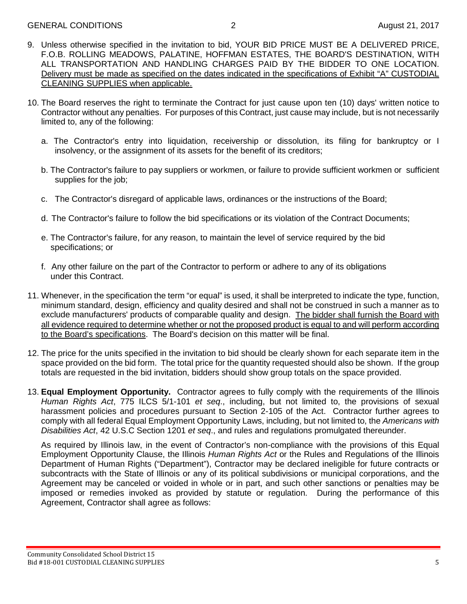- 9. Unless otherwise specified in the invitation to bid, YOUR BID PRICE MUST BE A DELIVERED PRICE, F.O.B. ROLLING MEADOWS, PALATINE, HOFFMAN ESTATES, THE BOARD'S DESTINATION, WITH ALL TRANSPORTATION AND HANDLING CHARGES PAID BY THE BIDDER TO ONE LOCATION. Delivery must be made as specified on the dates indicated in the specifications of Exhibit "A" CUSTODIAL CLEANING SUPPLIES when applicable.
- 10. The Board reserves the right to terminate the Contract for just cause upon ten (10) days' written notice to Contractor without any penalties. For purposes of this Contract, just cause may include, but is not necessarily limited to, any of the following:
	- a. The Contractor's entry into liquidation, receivership or dissolution, its filing for bankruptcy or I insolvency, or the assignment of its assets for the benefit of its creditors;
	- b. The Contractor's failure to pay suppliers or workmen, or failure to provide sufficient workmen or sufficient supplies for the job;
	- c. The Contractor's disregard of applicable laws, ordinances or the instructions of the Board;
	- d. The Contractor's failure to follow the bid specifications or its violation of the Contract Documents;
	- e. The Contractor's failure, for any reason, to maintain the level of service required by the bid specifications; or
	- f. Any other failure on the part of the Contractor to perform or adhere to any of its obligations under this Contract.
- 11. Whenever, in the specification the term "or equal" is used, it shall be interpreted to indicate the type, function, minimum standard, design, efficiency and quality desired and shall not be construed in such a manner as to exclude manufacturers' products of comparable quality and design. The bidder shall furnish the Board with all evidence required to determine whether or not the proposed product is equal to and will perform according to the Board's specifications. The Board's decision on this matter will be final.
- 12. The price for the units specified in the invitation to bid should be clearly shown for each separate item in the space provided on the bid form. The total price for the quantity requested should also be shown. If the group totals are requested in the bid invitation, bidders should show group totals on the space provided.
- 13. **Equal Employment Opportunity.** Contractor agrees to fully comply with the requirements of the Illinois *Human Rights Act*, 775 ILCS 5/1-101 *et seq*., including, but not limited to, the provisions of sexual harassment policies and procedures pursuant to Section 2-105 of the Act. Contractor further agrees to comply with all federal Equal Employment Opportunity Laws, including, but not limited to, the *Americans with Disabilities Act*, 42 U.S.C Section 1201 *et seq*., and rules and regulations promulgated thereunder.

As required by Illinois law, in the event of Contractor's non-compliance with the provisions of this Equal Employment Opportunity Clause, the Illinois *Human Rights Act* or the Rules and Regulations of the Illinois Department of Human Rights ("Department"), Contractor may be declared ineligible for future contracts or subcontracts with the State of Illinois or any of its political subdivisions or municipal corporations, and the Agreement may be canceled or voided in whole or in part, and such other sanctions or penalties may be imposed or remedies invoked as provided by statute or regulation. During the performance of this Agreement, Contractor shall agree as follows: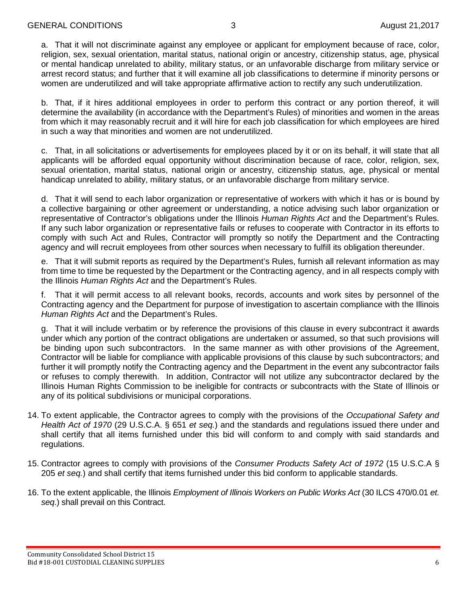a. That it will not discriminate against any employee or applicant for employment because of race, color, religion, sex, sexual orientation, marital status, national origin or ancestry, citizenship status, age, physical or mental handicap unrelated to ability, military status, or an unfavorable discharge from military service or arrest record status; and further that it will examine all job classifications to determine if minority persons or women are underutilized and will take appropriate affirmative action to rectify any such underutilization.

b. That, if it hires additional employees in order to perform this contract or any portion thereof, it will determine the availability (in accordance with the Department's Rules) of minorities and women in the areas from which it may reasonably recruit and it will hire for each job classification for which employees are hired in such a way that minorities and women are not underutilized.

c. That, in all solicitations or advertisements for employees placed by it or on its behalf, it will state that all applicants will be afforded equal opportunity without discrimination because of race, color, religion, sex, sexual orientation, marital status, national origin or ancestry, citizenship status, age, physical or mental handicap unrelated to ability, military status, or an unfavorable discharge from military service.

d. That it will send to each labor organization or representative of workers with which it has or is bound by a collective bargaining or other agreement or understanding, a notice advising such labor organization or representative of Contractor's obligations under the Illinois *Human Rights Act* and the Department's Rules. If any such labor organization or representative fails or refuses to cooperate with Contractor in its efforts to comply with such Act and Rules, Contractor will promptly so notify the Department and the Contracting agency and will recruit employees from other sources when necessary to fulfill its obligation thereunder.

e. That it will submit reports as required by the Department's Rules, furnish all relevant information as may from time to time be requested by the Department or the Contracting agency, and in all respects comply with the Illinois *Human Rights Act* and the Department's Rules.

f. That it will permit access to all relevant books, records, accounts and work sites by personnel of the Contracting agency and the Department for purpose of investigation to ascertain compliance with the Illinois *Human Rights Act* and the Department's Rules.

g. That it will include verbatim or by reference the provisions of this clause in every subcontract it awards under which any portion of the contract obligations are undertaken or assumed, so that such provisions will be binding upon such subcontractors. In the same manner as with other provisions of the Agreement, Contractor will be liable for compliance with applicable provisions of this clause by such subcontractors; and further it will promptly notify the Contracting agency and the Department in the event any subcontractor fails or refuses to comply therewith. In addition, Contractor will not utilize any subcontractor declared by the Illinois Human Rights Commission to be ineligible for contracts or subcontracts with the State of Illinois or any of its political subdivisions or municipal corporations.

- 14. To extent applicable, the Contractor agrees to comply with the provisions of the *Occupational Safety and Health Act of 1970* (29 U.S.C.A. § 651 *et seq.*) and the standards and regulations issued there under and shall certify that all items furnished under this bid will conform to and comply with said standards and regulations.
- 15. Contractor agrees to comply with provisions of the *Consumer Products Safety Act of 1972* (15 U.S.C.A § 205 *et seq.*) and shall certify that items furnished under this bid conform to applicable standards.
- 16. To the extent applicable, the Illinois *Employment of Illinois Workers on Public Works Act* (30 ILCS 470/0.01 *et. seq*.) shall prevail on this Contract.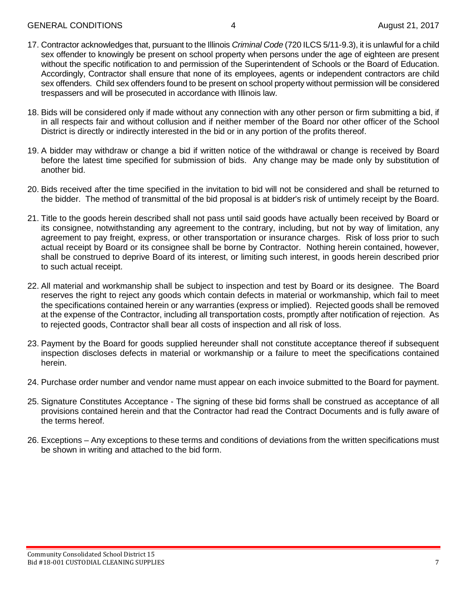- 17. Contractor acknowledges that, pursuant to the Illinois *Criminal Code* (720 ILCS 5/11-9.3), it is unlawful for a child sex offender to knowingly be present on school property when persons under the age of eighteen are present without the specific notification to and permission of the Superintendent of Schools or the Board of Education. Accordingly, Contractor shall ensure that none of its employees, agents or independent contractors are child sex offenders. Child sex offenders found to be present on school property without permission will be considered trespassers and will be prosecuted in accordance with Illinois law.
- 18. Bids will be considered only if made without any connection with any other person or firm submitting a bid, if in all respects fair and without collusion and if neither member of the Board nor other officer of the School District is directly or indirectly interested in the bid or in any portion of the profits thereof.
- 19. A bidder may withdraw or change a bid if written notice of the withdrawal or change is received by Board before the latest time specified for submission of bids. Any change may be made only by substitution of another bid.
- 20. Bids received after the time specified in the invitation to bid will not be considered and shall be returned to the bidder. The method of transmittal of the bid proposal is at bidder's risk of untimely receipt by the Board.
- 21. Title to the goods herein described shall not pass until said goods have actually been received by Board or its consignee, notwithstanding any agreement to the contrary, including, but not by way of limitation, any agreement to pay freight, express, or other transportation or insurance charges. Risk of loss prior to such actual receipt by Board or its consignee shall be borne by Contractor. Nothing herein contained, however, shall be construed to deprive Board of its interest, or limiting such interest, in goods herein described prior to such actual receipt.
- 22. All material and workmanship shall be subject to inspection and test by Board or its designee. The Board reserves the right to reject any goods which contain defects in material or workmanship, which fail to meet the specifications contained herein or any warranties (express or implied). Rejected goods shall be removed at the expense of the Contractor, including all transportation costs, promptly after notification of rejection. As to rejected goods, Contractor shall bear all costs of inspection and all risk of loss.
- 23. Payment by the Board for goods supplied hereunder shall not constitute acceptance thereof if subsequent inspection discloses defects in material or workmanship or a failure to meet the specifications contained herein.
- 24. Purchase order number and vendor name must appear on each invoice submitted to the Board for payment.
- 25. Signature Constitutes Acceptance The signing of these bid forms shall be construed as acceptance of all provisions contained herein and that the Contractor had read the Contract Documents and is fully aware of the terms hereof.
- 26. Exceptions Any exceptions to these terms and conditions of deviations from the written specifications must be shown in writing and attached to the bid form.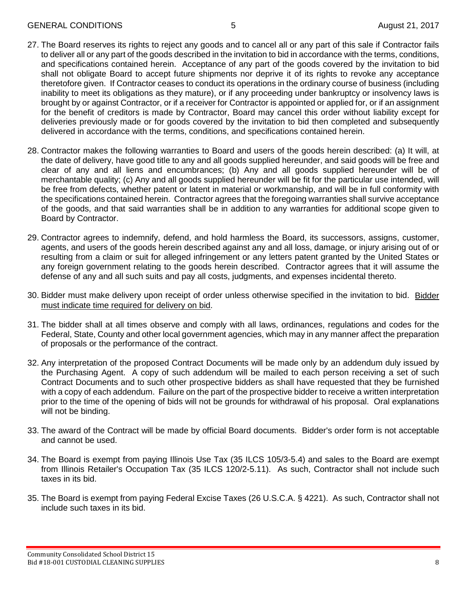- 27. The Board reserves its rights to reject any goods and to cancel all or any part of this sale if Contractor fails to deliver all or any part of the goods described in the invitation to bid in accordance with the terms, conditions, and specifications contained herein. Acceptance of any part of the goods covered by the invitation to bid shall not obligate Board to accept future shipments nor deprive it of its rights to revoke any acceptance theretofore given. If Contractor ceases to conduct its operations in the ordinary course of business (including inability to meet its obligations as they mature), or if any proceeding under bankruptcy or insolvency laws is brought by or against Contractor, or if a receiver for Contractor is appointed or applied for, or if an assignment for the benefit of creditors is made by Contractor, Board may cancel this order without liability except for deliveries previously made or for goods covered by the invitation to bid then completed and subsequently delivered in accordance with the terms, conditions, and specifications contained herein.
- 28. Contractor makes the following warranties to Board and users of the goods herein described: (a) It will, at the date of delivery, have good title to any and all goods supplied hereunder, and said goods will be free and clear of any and all liens and encumbrances; (b) Any and all goods supplied hereunder will be of merchantable quality; (c) Any and all goods supplied hereunder will be fit for the particular use intended, will be free from defects, whether patent or latent in material or workmanship, and will be in full conformity with the specifications contained herein. Contractor agrees that the foregoing warranties shall survive acceptance of the goods, and that said warranties shall be in addition to any warranties for additional scope given to Board by Contractor.
- 29. Contractor agrees to indemnify, defend, and hold harmless the Board, its successors, assigns, customer, agents, and users of the goods herein described against any and all loss, damage, or injury arising out of or resulting from a claim or suit for alleged infringement or any letters patent granted by the United States or any foreign government relating to the goods herein described. Contractor agrees that it will assume the defense of any and all such suits and pay all costs, judgments, and expenses incidental thereto.
- 30. Bidder must make delivery upon receipt of order unless otherwise specified in the invitation to bid. Bidder must indicate time required for delivery on bid.
- 31. The bidder shall at all times observe and comply with all laws, ordinances, regulations and codes for the Federal, State, County and other local government agencies, which may in any manner affect the preparation of proposals or the performance of the contract.
- 32. Any interpretation of the proposed Contract Documents will be made only by an addendum duly issued by the Purchasing Agent. A copy of such addendum will be mailed to each person receiving a set of such Contract Documents and to such other prospective bidders as shall have requested that they be furnished with a copy of each addendum. Failure on the part of the prospective bidder to receive a written interpretation prior to the time of the opening of bids will not be grounds for withdrawal of his proposal. Oral explanations will not be binding.
- 33. The award of the Contract will be made by official Board documents. Bidder's order form is not acceptable and cannot be used.
- 34. The Board is exempt from paying Illinois Use Tax (35 ILCS 105/3-5.4) and sales to the Board are exempt from Illinois Retailer's Occupation Tax (35 ILCS 120/2-5.11). As such, Contractor shall not include such taxes in its bid.
- 35. The Board is exempt from paying Federal Excise Taxes (26 U.S.C.A. § 4221). As such, Contractor shall not include such taxes in its bid.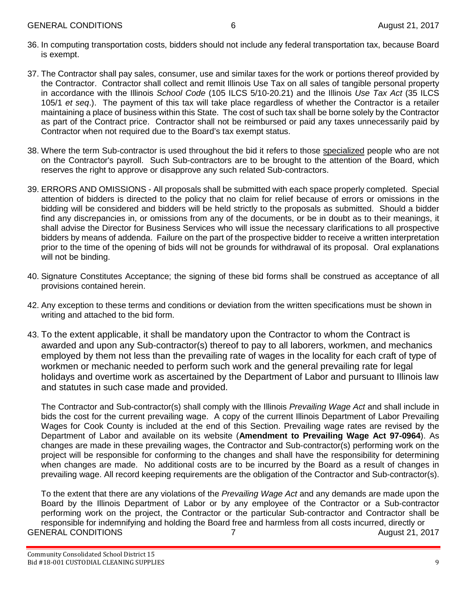- 36. In computing transportation costs, bidders should not include any federal transportation tax, because Board is exempt.
- 37. The Contractor shall pay sales, consumer, use and similar taxes for the work or portions thereof provided by the Contractor. Contractor shall collect and remit Illinois Use Tax on all sales of tangible personal property in accordance with the Illinois *School Code* (105 ILCS 5/10-20.21) and the Illinois *Use Tax Act* (35 ILCS 105/1 *et seq*.). The payment of this tax will take place regardless of whether the Contractor is a retailer maintaining a place of business within this State. The cost of such tax shall be borne solely by the Contractor as part of the Contract price. Contractor shall not be reimbursed or paid any taxes unnecessarily paid by Contractor when not required due to the Board's tax exempt status.
- 38. Where the term Sub-contractor is used throughout the bid it refers to those specialized people who are not on the Contractor's payroll. Such Sub-contractors are to be brought to the attention of the Board, which reserves the right to approve or disapprove any such related Sub-contractors.
- 39. ERRORS AND OMISSIONS All proposals shall be submitted with each space properly completed. Special attention of bidders is directed to the policy that no claim for relief because of errors or omissions in the bidding will be considered and bidders will be held strictly to the proposals as submitted. Should a bidder find any discrepancies in, or omissions from any of the documents, or be in doubt as to their meanings, it shall advise the Director for Business Services who will issue the necessary clarifications to all prospective bidders by means of addenda. Failure on the part of the prospective bidder to receive a written interpretation prior to the time of the opening of bids will not be grounds for withdrawal of its proposal. Oral explanations will not be binding.
- 40. Signature Constitutes Acceptance; the signing of these bid forms shall be construed as acceptance of all provisions contained herein.
- 42. Any exception to these terms and conditions or deviation from the written specifications must be shown in writing and attached to the bid form.
- 43. To the extent applicable, it shall be mandatory upon the Contractor to whom the Contract is awarded and upon any Sub-contractor(s) thereof to pay to all laborers, workmen, and mechanics employed by them not less than the prevailing rate of wages in the locality for each craft of type of workmen or mechanic needed to perform such work and the general prevailing rate for legal holidays and overtime work as ascertained by the Department of Labor and pursuant to Illinois law and statutes in such case made and provided.

The Contractor and Sub-contractor(s) shall comply with the Illinois *Prevailing Wage Act* and shall include in bids the cost for the current prevailing wage. A copy of the current Illinois Department of Labor Prevailing Wages for Cook County is included at the end of this Section. Prevailing wage rates are revised by the Department of Labor and available on its website (**Amendment to Prevailing Wage Act 97-0964**). As changes are made in these prevailing wages, the Contractor and Sub-contractor(s) performing work on the project will be responsible for conforming to the changes and shall have the responsibility for determining when changes are made. No additional costs are to be incurred by the Board as a result of changes in prevailing wage. All record keeping requirements are the obligation of the Contractor and Sub-contractor(s).

To the extent that there are any violations of the *Prevailing Wage Act* and any demands are made upon the Board by the Illinois Department of Labor or by any employee of the Contractor or a Sub-contractor performing work on the project, the Contractor or the particular Sub-contractor and Contractor shall be responsible for indemnifying and holding the Board free and harmless from all costs incurred, directly or GENERAL CONDITIONS 7 7 August 21, 2017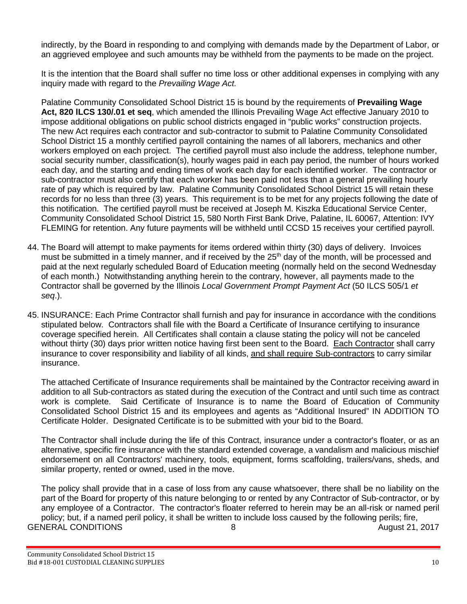indirectly, by the Board in responding to and complying with demands made by the Department of Labor, or an aggrieved employee and such amounts may be withheld from the payments to be made on the project.

It is the intention that the Board shall suffer no time loss or other additional expenses in complying with any inquiry made with regard to the *Prevailing Wage Act.*

Palatine Community Consolidated School District 15 is bound by the requirements of **Prevailing Wage Act, 820 lLCS 130/.01 et seq**, which amended the Illinois Prevailing Wage Act effective January 2010 to impose additional obligations on public school districts engaged in "public works" construction projects. The new Act requires each contractor and sub-contractor to submit to Palatine Community Consolidated School District 15 a monthly certified payroll containing the names of all laborers, mechanics and other workers employed on each project. The certified payroll must also include the address, telephone number, social security number, classification(s), hourly wages paid in each pay period, the number of hours worked each day, and the starting and ending times of work each day for each identified worker. The contractor or sub-contractor must also certify that each worker has been paid not less than a general prevailing hourly rate of pay which is required by law. Palatine Community Consolidated School District 15 will retain these records for no less than three (3) years. This requirement is to be met for any projects following the date of this notification. The certified payroll must be received at Joseph M. Kiszka Educational Service Center, Community Consolidated School District 15, 580 North First Bank Drive, Palatine, IL 60067, Attention: IVY FLEMING for retention. Any future payments will be withheld until CCSD 15 receives your certified payroll.

- 44. The Board will attempt to make payments for items ordered within thirty (30) days of delivery. Invoices must be submitted in a timely manner, and if received by the 25<sup>th</sup> day of the month, will be processed and paid at the next regularly scheduled Board of Education meeting (normally held on the second Wednesday of each month.) Notwithstanding anything herein to the contrary, however, all payments made to the Contractor shall be governed by the Illinois *Local Government Prompt Payment Act* (50 ILCS 505/1 *et seq*.).
- 45. INSURANCE: Each Prime Contractor shall furnish and pay for insurance in accordance with the conditions stipulated below. Contractors shall file with the Board a Certificate of Insurance certifying to insurance coverage specified herein. All Certificates shall contain a clause stating the policy will not be canceled without thirty (30) days prior written notice having first been sent to the Board. Each Contractor shall carry insurance to cover responsibility and liability of all kinds, and shall require Sub-contractors to carry similar insurance.

The attached Certificate of Insurance requirements shall be maintained by the Contractor receiving award in addition to all Sub-contractors as stated during the execution of the Contract and until such time as contract work is complete. Said Certificate of Insurance is to name the Board of Education of Community Consolidated School District 15 and its employees and agents as "Additional Insured" IN ADDITION TO Certificate Holder. Designated Certificate is to be submitted with your bid to the Board.

The Contractor shall include during the life of this Contract, insurance under a contractor's floater, or as an alternative, specific fire insurance with the standard extended coverage, a vandalism and malicious mischief endorsement on all Contractors' machinery, tools, equipment, forms scaffolding, trailers/vans, sheds, and similar property, rented or owned, used in the move.

The policy shall provide that in a case of loss from any cause whatsoever, there shall be no liability on the part of the Board for property of this nature belonging to or rented by any Contractor of Sub-contractor, or by any employee of a Contractor. The contractor's floater referred to herein may be an all-risk or named peril policy; but, if a named peril policy, it shall be written to include loss caused by the following perils; fire, GENERAL CONDITIONS 8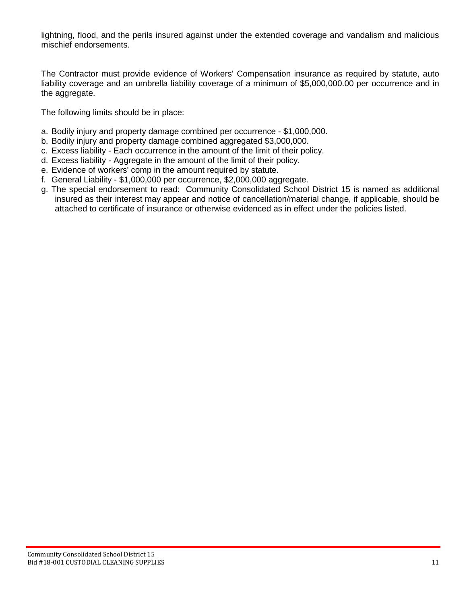lightning, flood, and the perils insured against under the extended coverage and vandalism and malicious mischief endorsements.

The Contractor must provide evidence of Workers' Compensation insurance as required by statute, auto liability coverage and an umbrella liability coverage of a minimum of \$5,000,000.00 per occurrence and in the aggregate.

The following limits should be in place:

- a. Bodily injury and property damage combined per occurrence \$1,000,000.
- b. Bodily injury and property damage combined aggregated \$3,000,000.
- c. Excess liability Each occurrence in the amount of the limit of their policy.
- d. Excess liability Aggregate in the amount of the limit of their policy.
- e. Evidence of workers' comp in the amount required by statute.
- f. General Liability \$1,000,000 per occurrence, \$2,000,000 aggregate.
- g. The special endorsement to read: Community Consolidated School District 15 is named as additional insured as their interest may appear and notice of cancellation/material change, if applicable, should be attached to certificate of insurance or otherwise evidenced as in effect under the policies listed.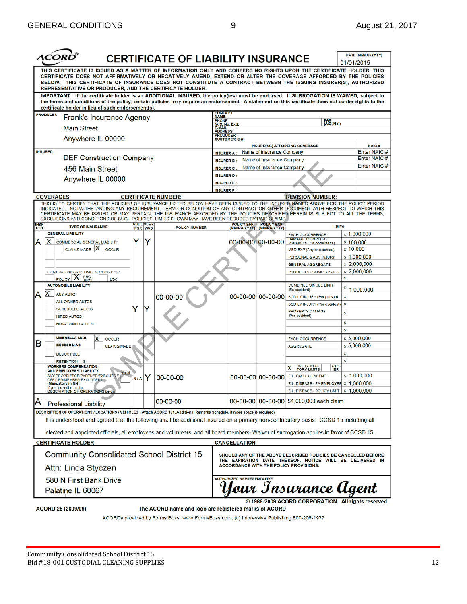|                                                                                                                                                                                                                                 |                                                                                                                                                                                                                                                                                                                                                                                                                                                                                                                                                                                                                                                                                                                 |                  | <b>CERTIFICATE OF LIABILITY INSURANCE</b> |                                                                                                                  |                                  |                                                        |                                                                                                                  | 01/01/2015            | DATE (MM/DD/YYYY)            |
|---------------------------------------------------------------------------------------------------------------------------------------------------------------------------------------------------------------------------------|-----------------------------------------------------------------------------------------------------------------------------------------------------------------------------------------------------------------------------------------------------------------------------------------------------------------------------------------------------------------------------------------------------------------------------------------------------------------------------------------------------------------------------------------------------------------------------------------------------------------------------------------------------------------------------------------------------------------|------------------|-------------------------------------------|------------------------------------------------------------------------------------------------------------------|----------------------------------|--------------------------------------------------------|------------------------------------------------------------------------------------------------------------------|-----------------------|------------------------------|
|                                                                                                                                                                                                                                 | THIS CERTIFICATE IS ISSUED AS A MATTER OF INFORMATION ONLY AND CONFERS NO RIGHTS UPON THE CERTIFICATE HOLDER. THIS<br>CERTIFICATE DOES NOT AFFIRMATIVELY OR NEGATIVELY AMEND, EXTEND OR ALTER THE COVERAGE AFFORDED BY THE POLICIES<br>BELOW. THIS CERTIFICATE OF INSURANCE DOES NOT CONSTITUTE A CONTRACT BETWEEN THE ISSUING INSURER(S), AUTHORIZED<br>REPRESENTATIVE OR PRODUCER, AND THE CERTIFICATE HOLDER.<br>IMPORTANT: If the certificate holder is an ADDITIONAL INSURED, the policy(ies) must be endorsed. If SUBROGATION IS WAIVED, subject to<br>the terms and conditions of the policy, certain policies may require an endorsement. A statement on this certificate does not confer rights to the |                  |                                           |                                                                                                                  |                                  |                                                        |                                                                                                                  |                       |                              |
|                                                                                                                                                                                                                                 | certificate holder in lieu of such endorsement(s).                                                                                                                                                                                                                                                                                                                                                                                                                                                                                                                                                                                                                                                              |                  |                                           |                                                                                                                  |                                  |                                                        |                                                                                                                  |                       |                              |
| <b>PRODUCER</b>                                                                                                                                                                                                                 | Frank's Insurance Agency<br><b>Main Street</b>                                                                                                                                                                                                                                                                                                                                                                                                                                                                                                                                                                                                                                                                  |                  |                                           | <b>CONTACT</b><br><b>NAME:</b><br><b>PHONE</b><br>(A/C, No, Ext):<br>E-MAIL<br><b>ADDRESS</b><br><b>PRODUCER</b> |                                  |                                                        | FAX<br>(A/C, No):                                                                                                |                       |                              |
|                                                                                                                                                                                                                                 | Anywhere IL 00000                                                                                                                                                                                                                                                                                                                                                                                                                                                                                                                                                                                                                                                                                               |                  |                                           |                                                                                                                  | <b>CUSTOMER ID#:</b>             |                                                        | <b>INSURER(S) AFFORDING COVERAGE</b>                                                                             |                       | <b>NAIC#</b>                 |
| <b>INSURED</b>                                                                                                                                                                                                                  | <b>DEF Construction Company</b>                                                                                                                                                                                                                                                                                                                                                                                                                                                                                                                                                                                                                                                                                 |                  |                                           | <b>INSURER A:</b><br><b>INSURER B:</b>                                                                           |                                  | Name of Insurance Company<br>Name of Insurance Company |                                                                                                                  |                       | Enter NAIC #<br>Enter NAIC # |
|                                                                                                                                                                                                                                 | 456 Main Street                                                                                                                                                                                                                                                                                                                                                                                                                                                                                                                                                                                                                                                                                                 |                  |                                           | <b>INSURER C:</b>                                                                                                |                                  | Name of Insurance Company                              |                                                                                                                  |                       | Enter NAIC #                 |
|                                                                                                                                                                                                                                 | Anywhere IL 00000                                                                                                                                                                                                                                                                                                                                                                                                                                                                                                                                                                                                                                                                                               |                  |                                           | <b>INSURER D:</b><br><b>INSURER E:</b>                                                                           |                                  |                                                        |                                                                                                                  |                       |                              |
| <b>COVERAGES</b>                                                                                                                                                                                                                |                                                                                                                                                                                                                                                                                                                                                                                                                                                                                                                                                                                                                                                                                                                 |                  | <b>CERTIFICATE NUMBER:</b>                | <b>INSURER F:</b>                                                                                                |                                  |                                                        | <b>REVISION NUMBER:</b>                                                                                          |                       |                              |
|                                                                                                                                                                                                                                 | THIS IS TO CERTIFY THAT THE POLICIES OF INSURANCE LISTED BELOW HAVE BEEN ISSUED TO THE INSURED NAMED ABOVE FOR THE POLICY PERIOD<br>INDICATED. NOTWITHSTANDING ANY REQUIREMENT, TERM OR CONDITION OF ANY CONTRACT OR OTHER DOCUMENT WITH RESPECT TO WHICH THIS<br>CERTIFICATE MAY BE ISSUED OR MAY PERTAIN. THE INSURANCE AFFORDED BY THE POLICIES DESCRIBED HEREIN IS SUBJECT TO ALL THE TERMS.<br>EXCLUSIONS AND CONDITIONS OF SUCH POLICIES. LIMITS SHOWN MAY HAVE BEEN REDUCED BY PAID CLAIMS.                                                                                                                                                                                                              | <b>ADDL</b> SUBR |                                           |                                                                                                                  |                                  | POLICY EFF POLICY EXP                                  |                                                                                                                  |                       |                              |
| <b>INSR</b><br>LTR                                                                                                                                                                                                              | <b>TYPE OF INSURANCE</b><br><b>GENERAL LIABILITY</b>                                                                                                                                                                                                                                                                                                                                                                                                                                                                                                                                                                                                                                                            | <b>INSR WVD</b>  | <b>POLICY NUMBER</b>                      |                                                                                                                  |                                  | (MM/DD/YYYY) (MM/DD/YYYY)                              | <b>LIMITS</b>                                                                                                    |                       | \$1,000,000                  |
| х<br>А                                                                                                                                                                                                                          | <b>COMMERCIAL GENERAL LIABILITY</b><br>CLAIMS-MADE X<br><b>OCCUR</b>                                                                                                                                                                                                                                                                                                                                                                                                                                                                                                                                                                                                                                            | Y                |                                           |                                                                                                                  | 00-00-00 00-00-00                |                                                        | <b>EACH OCCURRENCE</b><br><b>DAMAGE TO RENTED</b><br><b>PREMISES (Ea occurrence)</b><br>MED EXP (Any one person) | \$100,000<br>\$10,000 |                              |
|                                                                                                                                                                                                                                 |                                                                                                                                                                                                                                                                                                                                                                                                                                                                                                                                                                                                                                                                                                                 |                  |                                           |                                                                                                                  |                                  |                                                        | PERSONAL & ADV INJURY                                                                                            |                       | \$1,000,000                  |
|                                                                                                                                                                                                                                 |                                                                                                                                                                                                                                                                                                                                                                                                                                                                                                                                                                                                                                                                                                                 |                  |                                           |                                                                                                                  |                                  |                                                        | <b>GENERAL AGGREGATE</b>                                                                                         |                       | \$2,000,000                  |
|                                                                                                                                                                                                                                 | <b>GEN'L AGGREGATE LIMIT APPLIES PER:</b><br><b>POLICY</b><br>LOC                                                                                                                                                                                                                                                                                                                                                                                                                                                                                                                                                                                                                                               |                  |                                           |                                                                                                                  |                                  |                                                        | PRODUCTS - COMP/OP AGG                                                                                           | Ś                     | \$2,000,000                  |
| А                                                                                                                                                                                                                               | <b>AUTOMOBILE LIABILITY</b><br><b>ANY AUTO</b>                                                                                                                                                                                                                                                                                                                                                                                                                                                                                                                                                                                                                                                                  |                  |                                           |                                                                                                                  |                                  |                                                        | <b>COMBINED SINGLE LIMIT</b><br>(Ea accident)                                                                    |                       | \$1,000,000                  |
|                                                                                                                                                                                                                                 | ALL OWNED AUTOS                                                                                                                                                                                                                                                                                                                                                                                                                                                                                                                                                                                                                                                                                                 |                  | $00 - 00 - 00$                            |                                                                                                                  |                                  | 00-00-00 00-00-00                                      | BODILY INJURY (Per person)                                                                                       | \$                    |                              |
|                                                                                                                                                                                                                                 | <b>SCHEDULED AUTOS</b><br><b>HIRED AUTOS</b>                                                                                                                                                                                                                                                                                                                                                                                                                                                                                                                                                                                                                                                                    | Y                |                                           |                                                                                                                  |                                  |                                                        | BODILY INJURY (Per accident)<br>PROPERTY DAMAGE<br>(Per accident)                                                | \$<br>\$              |                              |
|                                                                                                                                                                                                                                 | <b>NON-OWNED AUTOS</b>                                                                                                                                                                                                                                                                                                                                                                                                                                                                                                                                                                                                                                                                                          |                  |                                           |                                                                                                                  |                                  |                                                        |                                                                                                                  | S<br>S                |                              |
| В                                                                                                                                                                                                                               | <b>UMBRELLA LIAB</b><br><b>OCCUR</b><br><b>EXCESS LIAB</b><br><b>CLAIMS-MADE</b>                                                                                                                                                                                                                                                                                                                                                                                                                                                                                                                                                                                                                                |                  |                                           |                                                                                                                  |                                  |                                                        | <b>EACH OCCURRENCE</b><br><b>AGGREGATE</b>                                                                       |                       | \$5,000,000<br>\$5,000,000   |
|                                                                                                                                                                                                                                 | <b>DEDUCTIBLE</b>                                                                                                                                                                                                                                                                                                                                                                                                                                                                                                                                                                                                                                                                                               |                  |                                           |                                                                                                                  |                                  |                                                        |                                                                                                                  | \$                    |                              |
|                                                                                                                                                                                                                                 | <b>RETENTION</b>                                                                                                                                                                                                                                                                                                                                                                                                                                                                                                                                                                                                                                                                                                |                  |                                           |                                                                                                                  |                                  |                                                        |                                                                                                                  | \$                    |                              |
|                                                                                                                                                                                                                                 | <b>WORKERS COMPENSATION</b><br><b>AND EMPLOYERS' LIABILITY</b><br>Y / N                                                                                                                                                                                                                                                                                                                                                                                                                                                                                                                                                                                                                                         |                  |                                           |                                                                                                                  |                                  |                                                        | <b>WC STATU-</b><br>TORY LIMITS<br>OTH-<br>x<br>FR                                                               |                       |                              |
|                                                                                                                                                                                                                                 | ANY PROPRIETOR/PARTNER/EXECUTIVE<br>OFFICER/MEMBER EXCLUDED?<br>(Mandatory in NH)                                                                                                                                                                                                                                                                                                                                                                                                                                                                                                                                                                                                                               | Y<br>N/A         | $00 - 00 - 00$                            |                                                                                                                  |                                  | 00-00-00 00-00-00                                      | E.L. EACH ACCIDENT<br>E.L. DISEASE - EA EMPLOYEE \$ 1,000,000                                                    |                       | \$1,000,000                  |
|                                                                                                                                                                                                                                 | doe<br>DÉSCRIPTION OF OPERATIONS below                                                                                                                                                                                                                                                                                                                                                                                                                                                                                                                                                                                                                                                                          |                  |                                           |                                                                                                                  |                                  |                                                        | E.L. DISEASE - POLICY LIMIT   \$ 1,000,000                                                                       |                       |                              |
| A                                                                                                                                                                                                                               | <b>Professional Liability</b>                                                                                                                                                                                                                                                                                                                                                                                                                                                                                                                                                                                                                                                                                   |                  | 00-00-00                                  |                                                                                                                  |                                  |                                                        | 00-00-00   00-00-00   \$1,000,000 each claim                                                                     |                       |                              |
|                                                                                                                                                                                                                                 | DESCRIPTION OF OPERATIONS / LOCATIONS / VEHICLES (Attach ACORD 101, Additional Remarks Schedule, if more space is required)                                                                                                                                                                                                                                                                                                                                                                                                                                                                                                                                                                                     |                  |                                           |                                                                                                                  |                                  |                                                        |                                                                                                                  |                       |                              |
|                                                                                                                                                                                                                                 | It is understood and agreed that the following shall be additional insured on a primary non-contributory basis: CCSD 15 including all                                                                                                                                                                                                                                                                                                                                                                                                                                                                                                                                                                           |                  |                                           |                                                                                                                  |                                  |                                                        |                                                                                                                  |                       |                              |
|                                                                                                                                                                                                                                 | elected and appointed officials, all employees and volunteers, and all board members. Waiver of subrogation applies in favor of CCSD 15.                                                                                                                                                                                                                                                                                                                                                                                                                                                                                                                                                                        |                  |                                           |                                                                                                                  |                                  |                                                        |                                                                                                                  |                       |                              |
|                                                                                                                                                                                                                                 | <b>CERTIFICATE HOLDER</b>                                                                                                                                                                                                                                                                                                                                                                                                                                                                                                                                                                                                                                                                                       |                  |                                           |                                                                                                                  | <b>CANCELLATION</b>              |                                                        |                                                                                                                  |                       |                              |
| <b>Community Consolidated School District 15</b><br>SHOULD ANY OF THE ABOVE DESCRIBED POLICIES BE CANCELLED BEFORE<br>THE EXPIRATION DATE THEREOF, NOTICE WILL BE DELIVERED IN<br><b>ACCORDANCE WITH THE POLICY PROVISIONS.</b> |                                                                                                                                                                                                                                                                                                                                                                                                                                                                                                                                                                                                                                                                                                                 |                  |                                           |                                                                                                                  |                                  |                                                        |                                                                                                                  |                       |                              |
|                                                                                                                                                                                                                                 | Attn: Linda Styczen                                                                                                                                                                                                                                                                                                                                                                                                                                                                                                                                                                                                                                                                                             |                  |                                           |                                                                                                                  |                                  |                                                        |                                                                                                                  |                       |                              |
|                                                                                                                                                                                                                                 | 580 N First Bank Drive<br>Palatine IL 60067                                                                                                                                                                                                                                                                                                                                                                                                                                                                                                                                                                                                                                                                     |                  |                                           |                                                                                                                  | <b>AUTHORIZED REPRESENTATIVE</b> |                                                        | Your Insurance Agent                                                                                             |                       |                              |
|                                                                                                                                                                                                                                 |                                                                                                                                                                                                                                                                                                                                                                                                                                                                                                                                                                                                                                                                                                                 |                  |                                           |                                                                                                                  |                                  |                                                        | © 1988-2009 ACORD CORPORATION. All rights reserved.                                                              |                       |                              |

ACORD 25 (2009/09)

The ACORD name and logo are registered marks of ACORD

ACORDs provided by Forms Boss. www.FormsBoss.com; (c) Impressive Publishing 800-208-1977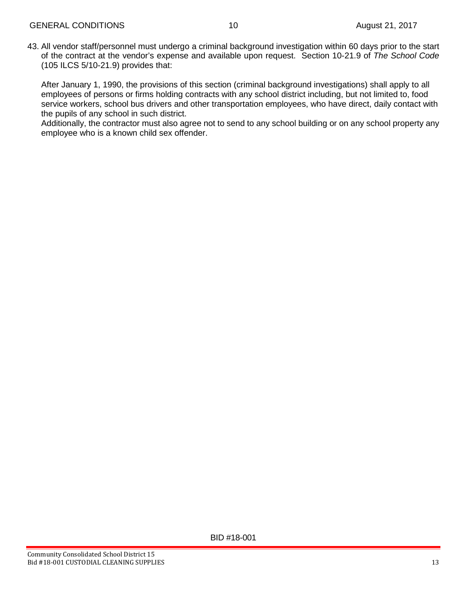43. All vendor staff/personnel must undergo a criminal background investigation within 60 days prior to the start of the contract at the vendor's expense and available upon request. Section 10-21.9 of *The School Code* (105 ILCS 5/10-21.9) provides that:

After January 1, 1990, the provisions of this section (criminal background investigations) shall apply to all employees of persons or firms holding contracts with any school district including, but not limited to, food service workers, school bus drivers and other transportation employees, who have direct, daily contact with the pupils of any school in such district.

Additionally, the contractor must also agree not to send to any school building or on any school property any employee who is a known child sex offender.

BID #18-001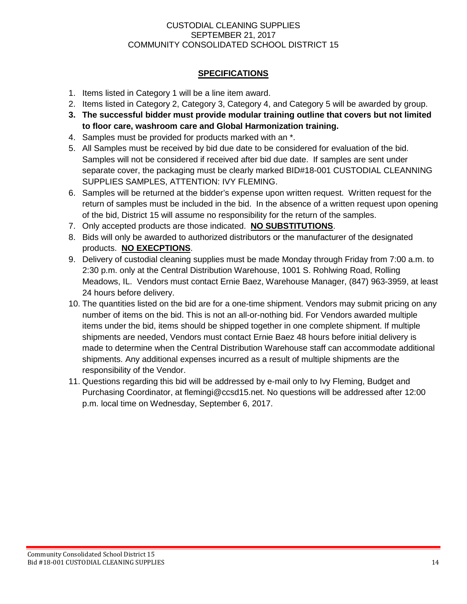## CUSTODIAL CLEANING SUPPLIES SEPTEMBER 21, 2017 COMMUNITY CONSOLIDATED SCHOOL DISTRICT 15

# **SPECIFICATIONS**

- 1. Items listed in Category 1 will be a line item award.
- 2. Items listed in Category 2, Category 3, Category 4, and Category 5 will be awarded by group.
- **3. The successful bidder must provide modular training outline that covers but not limited to floor care, washroom care and Global Harmonization training.**
- 4. Samples must be provided for products marked with an \*.
- 5. All Samples must be received by bid due date to be considered for evaluation of the bid. Samples will not be considered if received after bid due date. If samples are sent under separate cover, the packaging must be clearly marked BID#18-001 CUSTODIAL CLEANNING SUPPLIES SAMPLES, ATTENTION: IVY FLEMING.
- 6. Samples will be returned at the bidder's expense upon written request. Written request for the return of samples must be included in the bid. In the absence of a written request upon opening of the bid, District 15 will assume no responsibility for the return of the samples.
- 7. Only accepted products are those indicated. **NO SUBSTITUTIONS**.
- 8. Bids will only be awarded to authorized distributors or the manufacturer of the designated products. **NO EXECPTIONS**.
- 9. Delivery of custodial cleaning supplies must be made Monday through Friday from 7:00 a.m. to 2:30 p.m. only at the Central Distribution Warehouse, 1001 S. Rohlwing Road, Rolling Meadows, IL. Vendors must contact Ernie Baez, Warehouse Manager, (847) 963-3959, at least 24 hours before delivery.
- 10. The quantities listed on the bid are for a one-time shipment. Vendors may submit pricing on any number of items on the bid. This is not an all-or-nothing bid. For Vendors awarded multiple items under the bid, items should be shipped together in one complete shipment. If multiple shipments are needed, Vendors must contact Ernie Baez 48 hours before initial delivery is made to determine when the Central Distribution Warehouse staff can accommodate additional shipments. Any additional expenses incurred as a result of multiple shipments are the responsibility of the Vendor.
- 11. Questions regarding this bid will be addressed by e-mail only to Ivy Fleming, Budget and Purchasing Coordinator, at flemingi@ccsd15.net. No questions will be addressed after 12:00 p.m. local time on Wednesday, September 6, 2017.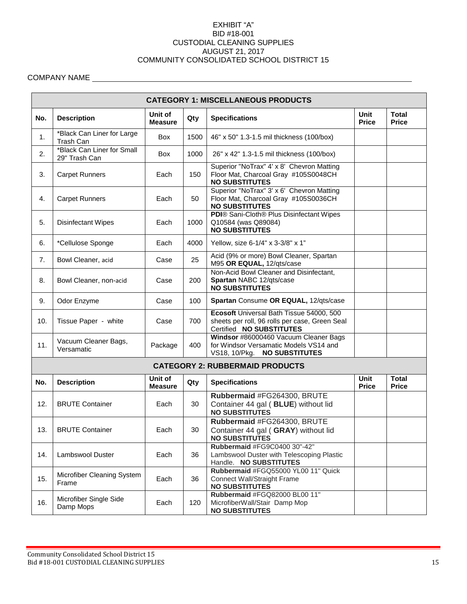#### EXHIBIT "A" BID #18-001 CUSTODIAL CLEANING SUPPLIES AUGUST 21, 2017 COMMUNITY CONSOLIDATED SCHOOL DISTRICT 15

# COMPANY NAME

|     | <b>CATEGORY 1: MISCELLANEOUS PRODUCTS</b>   |                           |      |                                                                                                                        |                             |                              |  |  |  |  |  |
|-----|---------------------------------------------|---------------------------|------|------------------------------------------------------------------------------------------------------------------------|-----------------------------|------------------------------|--|--|--|--|--|
| No. | <b>Description</b>                          | Unit of<br><b>Measure</b> | Qty  | <b>Specifications</b>                                                                                                  | Unit<br><b>Price</b>        | <b>Total</b><br><b>Price</b> |  |  |  |  |  |
| 1.  | *Black Can Liner for Large<br>Trash Can     | Box                       | 1500 | 46" x 50" 1.3-1.5 mil thickness (100/box)                                                                              |                             |                              |  |  |  |  |  |
| 2.  | *Black Can Liner for Small<br>29" Trash Can | Box                       | 1000 | 26" x 42" 1.3-1.5 mil thickness (100/box)                                                                              |                             |                              |  |  |  |  |  |
| 3.  | <b>Carpet Runners</b>                       | Each                      | 150  | Superior "NoTrax" 4' x 8' Chevron Matting<br>Floor Mat, Charcoal Gray #105S0048CH<br><b>NO SUBSTITUTES</b>             |                             |                              |  |  |  |  |  |
| 4.  | <b>Carpet Runners</b>                       | Each                      | 50   | Superior "NoTrax" 3' x 6' Chevron Matting<br>Floor Mat, Charcoal Gray #105S0036CH<br><b>NO SUBSTITUTES</b>             |                             |                              |  |  |  |  |  |
| 5.  | <b>Disinfectant Wipes</b>                   | Each                      | 1000 | PDI® Sani-Cloth® Plus Disinfectant Wipes<br>Q10584 (was Q89084)<br><b>NO SUBSTITUTES</b>                               |                             |                              |  |  |  |  |  |
| 6.  | *Cellulose Sponge                           | Each                      | 4000 | Yellow, size 6-1/4" x 3-3/8" x 1"                                                                                      |                             |                              |  |  |  |  |  |
| 7.  | Bowl Cleaner, acid                          | Case                      | 25   | Acid (9% or more) Bowl Cleaner, Spartan<br>M95 OR EQUAL, 12/qts/case                                                   |                             |                              |  |  |  |  |  |
| 8.  | Bowl Cleaner, non-acid                      | Case                      | 200  | Non-Acid Bowl Cleaner and Disinfectant,<br>Spartan NABC 12/qts/case<br><b>NO SUBSTITUTES</b>                           |                             |                              |  |  |  |  |  |
| 9.  | Odor Enzyme                                 | Case                      | 100  | Spartan Consume OR EQUAL, 12/qts/case                                                                                  |                             |                              |  |  |  |  |  |
| 10. | Tissue Paper - white                        | Case                      | 700  | Ecosoft Universal Bath Tissue 54000, 500<br>sheets per roll, 96 rolls per case, Green Seal<br>Certified NO SUBSTITUTES |                             |                              |  |  |  |  |  |
| 11. | Vacuum Cleaner Bags,<br>Versamatic          | Package                   | 400  | Windsor #86000460 Vacuum Cleaner Bags<br>for Windsor Versamatic Models VS14 and<br>VS18, 10/Pkg. NO SUBSTITUTES        |                             |                              |  |  |  |  |  |
|     |                                             |                           |      | <b>CATEGORY 2: RUBBERMAID PRODUCTS</b>                                                                                 |                             |                              |  |  |  |  |  |
| No. | <b>Description</b>                          | Unit of<br><b>Measure</b> | Qty  | <b>Specifications</b>                                                                                                  | <b>Unit</b><br><b>Price</b> | <b>Total</b><br><b>Price</b> |  |  |  |  |  |
| 12. | <b>BRUTE Container</b>                      | Each                      | 30   | Rubbermaid #FG264300, BRUTE<br>Container 44 gal (BLUE) without lid<br><b>NO SUBSTITUTES</b>                            |                             |                              |  |  |  |  |  |
| 13. | <b>BRUTE Container</b>                      | Each                      | 30   | Rubbermaid #FG264300, BRUTE<br>Container 44 gal (GRAY) without lid<br><b>NO SUBSTITUTES</b>                            |                             |                              |  |  |  |  |  |
| 14. | Lambswool Duster                            | Each                      | 36   | Rubbermaid #FG9C0400 30"-42"<br>Lambswool Duster with Telescoping Plastic<br>Handle. NO SUBSTITUTES                    |                             |                              |  |  |  |  |  |
| 15. | Microfiber Cleaning System<br>Frame         | Each                      | 36   | Rubbermaid #FGQ55000 YL00 11" Quick<br><b>Connect Wall/Straight Frame</b><br><b>NO SUBSTITUTES</b>                     |                             |                              |  |  |  |  |  |
| 16. | Microfiber Single Side<br>Damp Mops         | Each                      | 120  | Rubbermaid #FGQ82000 BL00 11"<br>MicrofiberWall/Stair Damp Mop<br><b>NO SUBSTITUTES</b>                                |                             |                              |  |  |  |  |  |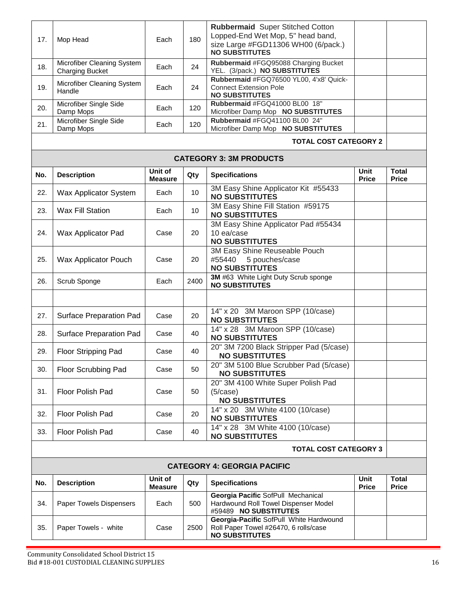| 17.                          | Mop Head                                             | Each                      | 180  | <b>Rubbermaid</b> Super Stitched Cotton<br>Lopped-End Wet Mop, 5" head band,<br>size Large #FGD11306 WH00 (6/pack.)<br><b>NO SUBSTITUTES</b> |                             |                              |  |
|------------------------------|------------------------------------------------------|---------------------------|------|----------------------------------------------------------------------------------------------------------------------------------------------|-----------------------------|------------------------------|--|
| 18.                          | Microfiber Cleaning System<br><b>Charging Bucket</b> | Each                      | 24   | Rubbermaid #FGQ95088 Charging Bucket<br>YEL. (3/pack.) NO SUBSTITUTES                                                                        |                             |                              |  |
| 19.                          | Microfiber Cleaning System<br>Handle                 | Each                      | 24   | Rubbermaid #FGQ76500 YL00, 4'x8' Quick-<br><b>Connect Extension Pole</b><br><b>NO SUBSTITUTES</b>                                            |                             |                              |  |
| 20.                          | Microfiber Single Side<br>Damp Mops                  | Each                      | 120  | Rubbermaid #FGQ41000 BL00 18"<br>Microfiber Damp Mop NO SUBSTITUTES                                                                          |                             |                              |  |
| 21.                          | Microfiber Single Side<br>Damp Mops                  | Each                      | 120  | Rubbermaid #FGQ41100 BL00 24"<br>Microfiber Damp Mop NO SUBSTITUTES                                                                          |                             |                              |  |
|                              |                                                      |                           |      | <b>TOTAL COST CATEGORY 2</b>                                                                                                                 |                             |                              |  |
|                              |                                                      |                           |      | <b>CATEGORY 3: 3M PRODUCTS</b>                                                                                                               |                             |                              |  |
| No.                          | <b>Description</b>                                   | Unit of<br><b>Measure</b> | Qty  | <b>Specifications</b>                                                                                                                        | Unit<br><b>Price</b>        | <b>Total</b><br><b>Price</b> |  |
| 22.                          | Wax Applicator System                                | Each                      | 10   | 3M Easy Shine Applicator Kit #55433<br><b>NO SUBSTITUTES</b>                                                                                 |                             |                              |  |
| 23.                          | <b>Wax Fill Station</b>                              | Each                      | 10   | 3M Easy Shine Fill Station #59175<br><b>NO SUBSTITUTES</b>                                                                                   |                             |                              |  |
| 24.                          | Wax Applicator Pad                                   | Case                      | 20   | 3M Easy Shine Applicator Pad #55434<br>10 ea/case<br><b>NO SUBSTITUTES</b>                                                                   |                             |                              |  |
| 25.                          | Wax Applicator Pouch                                 | Case                      | 20   | 3M Easy Shine Reuseable Pouch<br>#55440<br>5 pouches/case<br><b>NO SUBSTITUTES</b>                                                           |                             |                              |  |
| 26.                          | Scrub Sponge                                         | Each                      | 2400 | 3M #63 White Light Duty Scrub sponge<br><b>NO SUBSTITUTES</b>                                                                                |                             |                              |  |
|                              |                                                      |                           |      |                                                                                                                                              |                             |                              |  |
| 27.                          | Surface Preparation Pad                              | Case                      | 20   | 14" x 20 3M Maroon SPP (10/case)<br><b>NO SUBSTITUTES</b>                                                                                    |                             |                              |  |
| 28.                          | Surface Preparation Pad                              | Case                      | 40   | 14" x 28 3M Maroon SPP (10/case)<br><b>NO SUBSTITUTES</b>                                                                                    |                             |                              |  |
| 29.                          | Floor Stripping Pad                                  | Case                      | 40   | 20" 3M 7200 Black Stripper Pad (5/case)<br><b>NO SUBSTITUTES</b>                                                                             |                             |                              |  |
| 30.                          | Floor Scrubbing Pad                                  | Case                      | 50   | 20" 3M 5100 Blue Scrubber Pad (5/case)<br><b>NO SUBSTITUTES</b>                                                                              |                             |                              |  |
| 31.                          | <b>Floor Polish Pad</b>                              | Case                      | 50   | 20" 3M 4100 White Super Polish Pad<br>(5/case)<br><b>NO SUBSTITUTES</b>                                                                      |                             |                              |  |
| 32.                          | Floor Polish Pad                                     | Case                      | 20   | 14" x 20 3M White 4100 (10/case)<br><b>NO SUBSTITUTES</b>                                                                                    |                             |                              |  |
| 33.                          | Floor Polish Pad                                     | Case                      | 40   | 14" x 28 3M White 4100 (10/case)<br><b>NO SUBSTITUTES</b>                                                                                    |                             |                              |  |
| <b>TOTAL COST CATEGORY 3</b> |                                                      |                           |      |                                                                                                                                              |                             |                              |  |
|                              |                                                      |                           |      | <b>CATEGORY 4: GEORGIA PACIFIC</b>                                                                                                           |                             |                              |  |
| No.                          | <b>Description</b>                                   | Unit of<br><b>Measure</b> | Qty  | <b>Specifications</b>                                                                                                                        | <b>Unit</b><br><b>Price</b> | <b>Total</b><br><b>Price</b> |  |
| 34.                          | <b>Paper Towels Dispensers</b>                       | Each                      | 500  | Georgia Pacific SofPull Mechanical<br>Hardwound Roll Towel Dispenser Model<br>#59489 NO SUBSTITUTES                                          |                             |                              |  |
| 35.                          | Paper Towels - white                                 | Case                      | 2500 | Georgia-Pacific SofPull White Hardwound<br>Roll Paper Towel #26470, 6 rolls/case<br><b>NO SUBSTITUTES</b>                                    |                             |                              |  |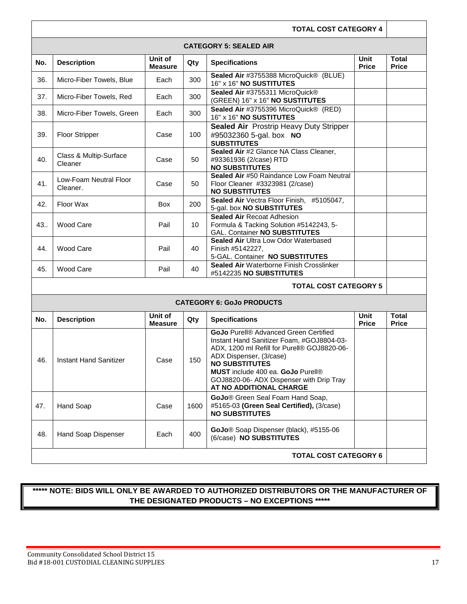| <b>TOTAL COST CATEGORY 4</b>  |                                    |                           |      |                                                                                                                                                                                                                                                                                                                 |                             |                              |  |  |
|-------------------------------|------------------------------------|---------------------------|------|-----------------------------------------------------------------------------------------------------------------------------------------------------------------------------------------------------------------------------------------------------------------------------------------------------------------|-----------------------------|------------------------------|--|--|
| <b>CATEGORY 5: SEALED AIR</b> |                                    |                           |      |                                                                                                                                                                                                                                                                                                                 |                             |                              |  |  |
| No.                           | <b>Description</b>                 | Unit of<br><b>Measure</b> | Qty  | <b>Specifications</b>                                                                                                                                                                                                                                                                                           | <b>Unit</b><br><b>Price</b> | <b>Total</b><br><b>Price</b> |  |  |
| 36.                           | Micro-Fiber Towels, Blue           | Each                      | 300  | Sealed Air #3755388 MicroQuick® (BLUE)<br>16" x 16" NO SUSTITUTES                                                                                                                                                                                                                                               |                             |                              |  |  |
| 37.                           | Micro-Fiber Towels, Red            | Each                      | 300  | Sealed Air #3755311 MicroQuick®<br>(GREEN) 16" x 16" NO SUSTITUTES                                                                                                                                                                                                                                              |                             |                              |  |  |
| 38.                           | Micro-Fiber Towels, Green          | Each                      | 300  | Sealed Air #3755396 MicroQuick® (RED)<br>16" x 16" NO SUSTITUTES                                                                                                                                                                                                                                                |                             |                              |  |  |
| 39.                           | <b>Floor Stripper</b>              | Case                      | 100  | Sealed Air Prostrip Heavy Duty Stripper<br>#95032360 5-gal. box NO<br><b>SUBSTITUTES</b>                                                                                                                                                                                                                        |                             |                              |  |  |
| 40.                           | Class & Multip-Surface<br>Cleaner  | Case                      | 50   | Sealed Air #2 Glance NA Class Cleaner,<br>#93361936 (2/case) RTD<br><b>NO SUBSTITUTES</b>                                                                                                                                                                                                                       |                             |                              |  |  |
| 41.                           | Low-Foam Neutral Floor<br>Cleaner. | Case                      | 50   | Sealed Air #50 Raindance Low Foam Neutral<br>Floor Cleaner #3323981 (2/case)<br><b>NO SUBSTITUTES</b>                                                                                                                                                                                                           |                             |                              |  |  |
| 42.                           | Floor Wax                          | Box                       | 200  | Sealed Air Vectra Floor Finish, #5105047,<br>5-gal. box NO SUBSTITUTES                                                                                                                                                                                                                                          |                             |                              |  |  |
| 43.                           | Wood Care                          | Pail                      | 10   | <b>Sealed Air Recoat Adhesion</b><br>Formula & Tacking Solution #5142243, 5-<br><b>GAL. Container NO SUBSTITUTES</b>                                                                                                                                                                                            |                             |                              |  |  |
| 44.                           | Wood Care                          | Pail                      | 40   | Sealed Air Ultra Low Odor Waterbased<br>Finish #5142227,<br>5-GAL. Container NO SUBSTITUTES                                                                                                                                                                                                                     |                             |                              |  |  |
| 45.                           | Wood Care                          | Pail                      | 40   | Sealed Air Waterborne Finish Crosslinker<br>#5142235 NO SUBSTITUTES                                                                                                                                                                                                                                             |                             |                              |  |  |
| <b>TOTAL COST CATEGORY 5</b>  |                                    |                           |      |                                                                                                                                                                                                                                                                                                                 |                             |                              |  |  |
|                               |                                    |                           |      | <b>CATEGORY 6: GoJo PRODUCTS</b>                                                                                                                                                                                                                                                                                |                             |                              |  |  |
| No.                           | <b>Description</b>                 | Unit of<br><b>Measure</b> | Qty  | <b>Specifications</b>                                                                                                                                                                                                                                                                                           | Unit<br><b>Price</b>        | <b>Total</b><br><b>Price</b> |  |  |
| 46.                           | Instant Hand Sanitizer             | Case                      | 150  | <b>GoJo</b> Purell® Advanced Green Certified<br>Instant Hand Sanitizer Foam, #GOJ8804-03-<br>ADX, 1200 ml Refill for Purell® GOJ8820-06-<br>ADX Dispenser, (3/case)<br><b>NO SUBSTITUTES</b><br><b>MUST</b> include 400 ea. GoJo Purell®<br>GOJ8820-06- ADX Dispenser with Drip Tray<br>AT NO ADDITIONAL CHARGE |                             |                              |  |  |
| 47.                           | Hand Soap                          | Case                      | 1600 | GoJo <sup>®</sup> Green Seal Foam Hand Soap,<br>#5165-03 (Green Seal Certified), (3/case)<br><b>NO SUBSTITUTES</b>                                                                                                                                                                                              |                             |                              |  |  |
| 48.                           | Hand Soap Dispenser                | Each                      | 400  | GoJo® Soap Dispenser (black), #5155-06<br>(6/case) NO SUBSTITUTES                                                                                                                                                                                                                                               |                             |                              |  |  |
| <b>TOTAL COST CATEGORY 6</b>  |                                    |                           |      |                                                                                                                                                                                                                                                                                                                 |                             |                              |  |  |

# **\*\*\*\*\* NOTE: BIDS WILL ONLY BE AWARDED TO AUTHORIZED DISTRIBUTORS OR THE MANUFACTURER OF THE DESIGNATED PRODUCTS – NO EXCEPTIONS \*\*\*\*\***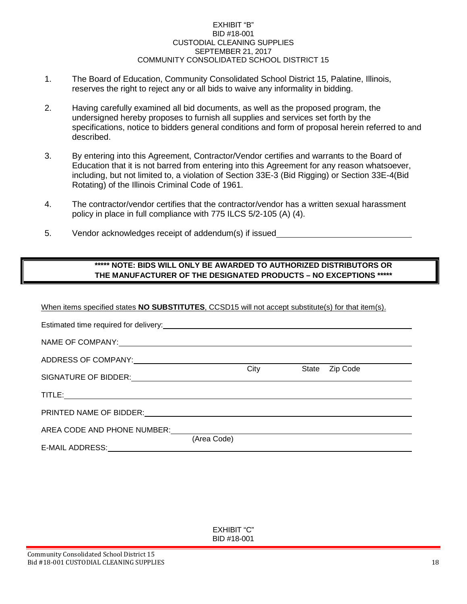#### EXHIBIT "B" BID #18-001 CUSTODIAL CLEANING SUPPLIES SEPTEMBER 21, 2017 COMMUNITY CONSOLIDATED SCHOOL DISTRICT 15

- 1. The Board of Education, Community Consolidated School District 15, Palatine, Illinois, reserves the right to reject any or all bids to waive any informality in bidding.
- 2. Having carefully examined all bid documents, as well as the proposed program, the undersigned hereby proposes to furnish all supplies and services set forth by the specifications, notice to bidders general conditions and form of proposal herein referred to and described.
- 3. By entering into this Agreement, Contractor/Vendor certifies and warrants to the Board of Education that it is not barred from entering into this Agreement for any reason whatsoever, including, but not limited to, a violation of Section 33E-3 (Bid Rigging) or Section 33E-4(Bid Rotating) of the Illinois Criminal Code of 1961.
- 4. The contractor/vendor certifies that the contractor/vendor has a written sexual harassment policy in place in full compliance with 775 ILCS 5/2-105 (A) (4).
- 5. Vendor acknowledges receipt of addendum(s) if issued

# **\*\*\*\*\* NOTE: BIDS WILL ONLY BE AWARDED TO AUTHORIZED DISTRIBUTORS OR THE MANUFACTURER OF THE DESIGNATED PRODUCTS – NO EXCEPTIONS \*\*\*\*\***

#### When items specified states **NO SUBSTITUTES**, CCSD15 will not accept substitute(s) for that item(s).

| Estimated time required for delivery:<br>extra and the state of the state of the state of the state of the state of the state of the state of the state of the state of the state of the state of the state of the state of the |             |      |       |          |
|---------------------------------------------------------------------------------------------------------------------------------------------------------------------------------------------------------------------------------|-------------|------|-------|----------|
|                                                                                                                                                                                                                                 |             |      |       |          |
|                                                                                                                                                                                                                                 |             |      |       |          |
|                                                                                                                                                                                                                                 |             | City | State | Zip Code |
|                                                                                                                                                                                                                                 |             |      |       |          |
|                                                                                                                                                                                                                                 |             |      |       |          |
| AREA CODE AND PHONE NUMBER:                                                                                                                                                                                                     |             |      |       |          |
| E-MAIL ADDRESS: ____________                                                                                                                                                                                                    | (Area Code) |      |       |          |

EXHIBIT "C" BID #18-001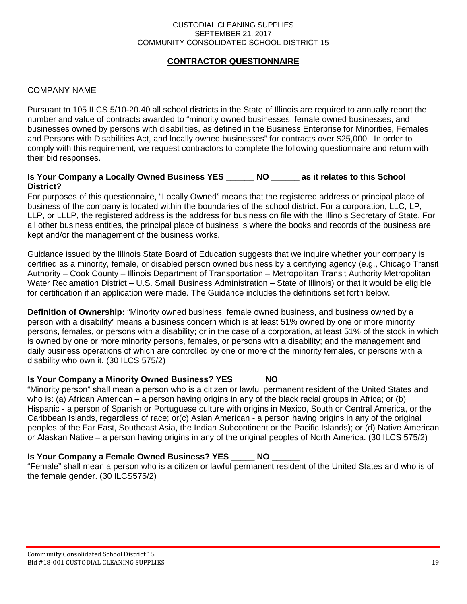#### CUSTODIAL CLEANING SUPPLIES SEPTEMBER 21, 2017 COMMUNITY CONSOLIDATED SCHOOL DISTRICT 15

# **CONTRACTOR QUESTIONNAIRE**

# COMPANY NAME

Pursuant to 105 ILCS 5/10-20.40 all school districts in the State of Illinois are required to annually report the number and value of contracts awarded to "minority owned businesses, female owned businesses, and businesses owned by persons with disabilities, as defined in the Business Enterprise for Minorities, Females and Persons with Disabilities Act, and locally owned businesses" for contracts over \$25,000. In order to comply with this requirement, we request contractors to complete the following questionnaire and return with their bid responses.

#### **Is Your Company a Locally Owned Business YES \_\_\_\_\_\_ NO \_\_\_\_\_\_ as it relates to this School District?**

For purposes of this questionnaire, "Locally Owned" means that the registered address or principal place of business of the company is located within the boundaries of the school district. For a corporation, LLC, LP, LLP, or LLLP, the registered address is the address for business on file with the Illinois Secretary of State. For all other business entities, the principal place of business is where the books and records of the business are kept and/or the management of the business works.

Guidance issued by the Illinois State Board of Education suggests that we inquire whether your company is certified as a minority, female, or disabled person owned business by a certifying agency (e.g., Chicago Transit Authority – Cook County – Illinois Department of Transportation – Metropolitan Transit Authority Metropolitan Water Reclamation District – U.S. Small Business Administration – State of Illinois) or that it would be eligible for certification if an application were made. The Guidance includes the definitions set forth below.

**Definition of Ownership:** "Minority owned business, female owned business, and business owned by a person with a disability" means a business concern which is at least 51% owned by one or more minority persons, females, or persons with a disability; or in the case of a corporation, at least 51% of the stock in which is owned by one or more minority persons, females, or persons with a disability; and the management and daily business operations of which are controlled by one or more of the minority females, or persons with a disability who own it. (30 ILCS 575/2)

## **Is Your Company a Minority Owned Business? YES \_\_\_\_\_\_ NO \_\_\_\_\_\_**

"Minority person" shall mean a person who is a citizen or lawful permanent resident of the United States and who is: (a) African American – a person having origins in any of the black racial groups in Africa; or (b) Hispanic - a person of Spanish or Portuguese culture with origins in Mexico, South or Central America, or the Caribbean Islands, regardless of race; or(c) Asian American - a person having origins in any of the original peoples of the Far East, Southeast Asia, the Indian Subcontinent or the Pacific Islands); or (d) Native American or Alaskan Native – a person having origins in any of the original peoples of North America. (30 ILCS 575/2)

# **Is Your Company a Female Owned Business? YES \_\_\_\_\_ NO \_\_\_\_\_\_**

"Female" shall mean a person who is a citizen or lawful permanent resident of the United States and who is of the female gender. (30 ILCS575/2)